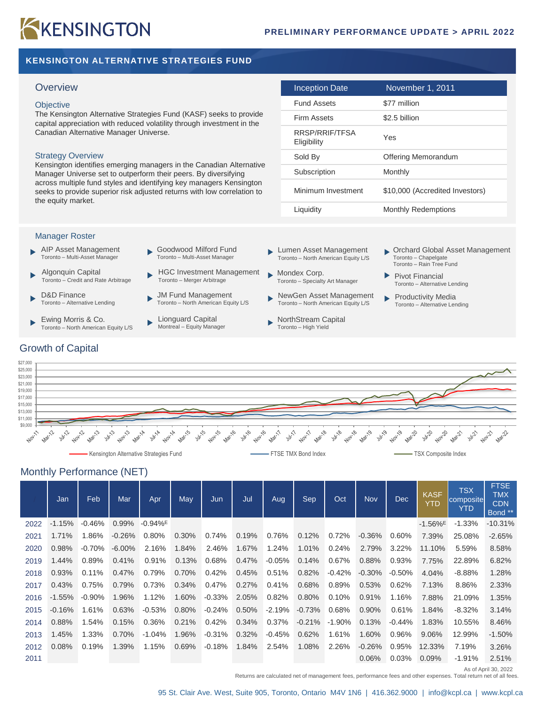# KKENSINGTON

## **KENSINGTON ALTERNATIVE STRATEGIES FUND**

#### **Objective**

#### Strategy Overview

| Overview                                                                                                                                                             | Inception Date                | November 1, 2011                |
|----------------------------------------------------------------------------------------------------------------------------------------------------------------------|-------------------------------|---------------------------------|
| <b>Objective</b>                                                                                                                                                     | <b>Fund Assets</b>            | \$77 million                    |
| The Kensington Alternative Strategies Fund (KASF) seeks to provide<br>capital appreciation with reduced volatility through investment in the                         | Firm Assets                   | \$2.5 billion                   |
| Canadian Alternative Manager Universe.                                                                                                                               | RRSP/RRIF/TFSA<br>Eligibility | Yes                             |
| <b>Strategy Overview</b>                                                                                                                                             | Sold By                       | Offering Memorandum             |
| Kensington identifies emerging managers in the Canadian Alternative<br>Manager Universe set to outperform their peers. By diversifying                               | Subscription                  | Monthly                         |
| across multiple fund styles and identifying key managers Kensington<br>seeks to provide superior risk adjusted returns with low correlation to<br>the equity market. | Minimum Investment            | \$10,000 (Accredited Investors) |
|                                                                                                                                                                      | Liquidity                     | <b>Monthly Redemptions</b>      |

#### Manager Roster

- AIP Asset Management Toronto – Multi-Asset Manager
- Algonquin Capital Toronto – Credit and Rate Arbitrage
- D&D Finance Toronto – Alternative Lending

Growth of Capital

- Ewing Morris & Co. ь Toronto – North American Equity L/S
- Goodwood Milford Fund ь Toronto – Multi-Asset Manager
- HGC Investment Management Toronto – Merger Arbitrage
- JM Fund Management Toronto – North American Equity L/S
- Lionguard Capital Montreal – Equity Manager
- Lumen Asset Management ь Toronto – North American Equity L/S
- Mondex Corp. ь Toronto – Specialty Art Manager
- NewGen Asset Management ь Toronto – North American Equity L/S
- NorthStream Capital  $\blacktriangleright$ Toronto – High Yield
- Orchard Global Asset Management Toronto – Chapelgate Toronto – Rain Tree Fund
- Pivot Financial Toronto – Alternative Lending
- Productivity Media Toronto – Alternative Lending
- \$27,000 \$25,000 \$23,000 \$21,000 \$19,000 \$17,000 \$15,000 \$13,000 \$11,000  $$9,000 +$ Nov-11 Mar-12 Nov-18 Marita Juli 19 **Natility July21** Mari2 **Oliver**  $\sqrt{2}$ ∾ ∱ .<br>Sh Kensington Alternative Strategies Fund FTSE TMX Bond Index FTSE TMX Bond Index FTSE TMX Composite Index

## Monthly Performance (NET)

|      | Jan      | Feb       | Mar       | Apr                   | May      | Jun      | Jul   | Aug       | Sep      | Oct       | <b>Nov</b> | <b>Dec</b> | <b>KASF</b><br><b>YTD</b> | <b>TSX</b><br>composite<br><b>YTD</b> | <b>FTSE</b><br><b>TMX</b><br><b>CDN</b><br>Bond ** |
|------|----------|-----------|-----------|-----------------------|----------|----------|-------|-----------|----------|-----------|------------|------------|---------------------------|---------------------------------------|----------------------------------------------------|
| 2022 | $-1.15%$ | $-0.46%$  | 0.99%     | $-0.94%$ <sup>E</sup> |          |          |       |           |          |           |            |            | $-1.56\%$ <sup>E</sup>    | $-1.33%$                              | $-10.31%$                                          |
| 2021 | 1.71%    | 1.86%     | $-0.26%$  | 0.80%                 | $0.30\%$ | 0.74%    | 0.19% | 0.76%     | 0.12%    | 0.72%     | $-0.36%$   | 0.60%      | 7.39%                     | 25.08%                                | $-2.65%$                                           |
| 2020 | 0.98%    | $-0.70\%$ | $-6.00\%$ | 2.16%                 | 1.84%    | 2.46%    | 1.67% | 1.24%     | 1.01%    | 0.24%     | 2.79%      | 3.22%      | 11.10%                    | 5.59%                                 | 8.58%                                              |
| 2019 | 1.44%    | 0.89%     | 0.41%     | 0.91%                 | 0.13%    | 0.68%    | 0.47% | $-0.05\%$ | 0.14%    | 0.67%     | 0.88%      | 0.93%      | 7.75%                     | 22.89%                                | 6.82%                                              |
| 2018 | 0.93%    | 0.11%     | 0.47%     | 0.79%                 | 0.70%    | 0.42%    | 0.45% | 0.51%     | 0.82%    | $-0.42%$  | $-0.30\%$  | $-0.50%$   | 4.04%                     | $-8.88%$                              | 1.28%                                              |
| 2017 | 0.43%    | 0.75%     | 0.79%     | 0.73%                 | 0.34%    | 0.47%    | 0.27% | 0.41%     | 0.68%    | 0.89%     | 0.53%      | 0.62%      | 7.13%                     | 8.86%                                 | 2.33%                                              |
| 2016 | $-1.55%$ | $-0.90\%$ | 1.96%     | 1.12%                 | 1.60%    | $-0.33%$ | 2.05% | 0.82%     | 0.80%    | 0.10%     | 0.91%      | 1.16%      | 7.88%                     | 21.09%                                | 1.35%                                              |
| 2015 | $-0.16%$ | 1.61%     | 0.63%     | $-0.53%$              | $0.80\%$ | $-0.24%$ | 0.50% | $-2.19\%$ | $-0.73%$ | 0.68%     | 0.90%      | 0.61%      | 1.84%                     | $-8.32%$                              | 3.14%                                              |
| 2014 | 0.88%    | 1.54%     | 0.15%     | 0.36%                 | 0.21%    | 0.42%    | 0.34% | 0.37%     | $-0.21%$ | $-1.90\%$ | 0.13%      | $-0.44%$   | 1.83%                     | 10.55%                                | 8.46%                                              |
| 2013 | 1.45%    | 1.33%     | 0.70%     | $-1.04%$              | 1.96%    | $-0.31%$ | 0.32% | $-0.45\%$ | 0.62%    | 1.61%     | 1.60%      | 0.96%      | 9.06%                     | 12.99%                                | $-1.50%$                                           |
| 2012 | 0.08%    | 0.19%     | 1.39%     | 1.15%                 | 0.69%    | $-0.18%$ | 1.84% | 2.54%     | 1.08%    | 2.26%     | $-0.26%$   | 0.95%      | 12.33%                    | 7.19%                                 | 3.26%                                              |
| 2011 |          |           |           |                       |          |          |       |           |          |           | 0.06%      | 0.03%      | 0.09%                     | $-1.91%$                              | 2.51%                                              |

As of April 30, 2022

Returns are calculated net of management fees, performance fees and other expenses. Total return net of all fees.